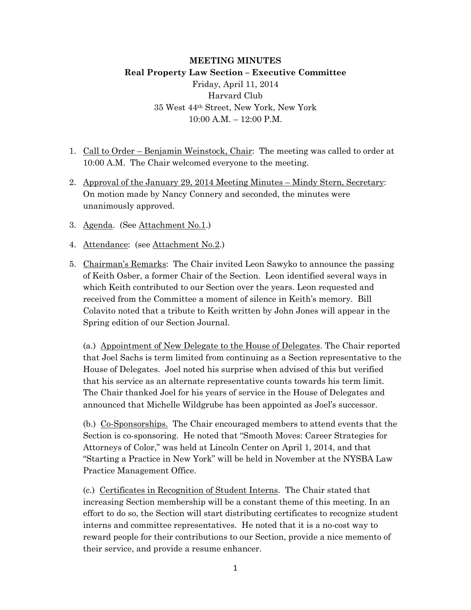## **MEETING MINUTES**

# **Real Property Law Section – Executive Committee** Friday, April 11, 2014 Harvard Club 35 West 44th Street, New York, New York 10:00 A.M. – 12:00 P.M.

- 1. Call to Order Benjamin Weinstock, Chair: The meeting was called to order at 10:00 A.M. The Chair welcomed everyone to the meeting.
- 2. Approval of the January 29, 2014 Meeting Minutes Mindy Stern, Secretary: On motion made by Nancy Connery and seconded, the minutes were unanimously approved.
- 3. Agenda. (See Attachment No.1.)
- 4. Attendance: (see Attachment No.2.)
- 5. Chairman's Remarks: The Chair invited Leon Sawyko to announce the passing of Keith Osber, a former Chair of the Section. Leon identified several ways in which Keith contributed to our Section over the years. Leon requested and received from the Committee a moment of silence in Keith's memory. Bill Colavito noted that a tribute to Keith written by John Jones will appear in the Spring edition of our Section Journal.

(a.) Appointment of New Delegate to the House of Delegates. The Chair reported that Joel Sachs is term limited from continuing as a Section representative to the House of Delegates. Joel noted his surprise when advised of this but verified that his service as an alternate representative counts towards his term limit. The Chair thanked Joel for his years of service in the House of Delegates and announced that Michelle Wildgrube has been appointed as Joel's successor.

(b.) Co-Sponsorships. The Chair encouraged members to attend events that the Section is co-sponsoring. He noted that "Smooth Moves: Career Strategies for Attorneys of Color," was held at Lincoln Center on April 1, 2014, and that "Starting a Practice in New York" will be held in November at the NYSBA Law Practice Management Office.

(c.) Certificates in Recognition of Student Interns. The Chair stated that increasing Section membership will be a constant theme of this meeting. In an effort to do so, the Section will start distributing certificates to recognize student interns and committee representatives. He noted that it is a no-cost way to reward people for their contributions to our Section, provide a nice memento of their service, and provide a resume enhancer.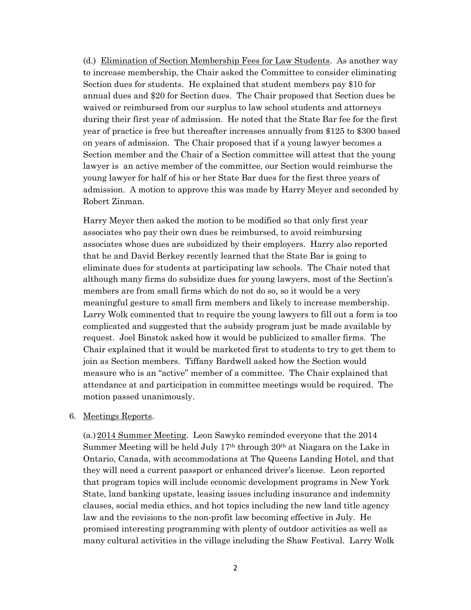(d.) Elimination of Section Membership Fees for Law Students. As another way to increase membership, the Chair asked the Committee to consider eliminating Section dues for students. He explained that student members pay \$10 for annual dues and \$20 for Section dues. The Chair proposed that Section dues be waived or reimbursed from our surplus to law school students and attorneys during their first year of admission. He noted that the State Bar fee for the first year of practice is free but thereafter increases annually from \$125 to \$300 based on years of admission. The Chair proposed that if a young lawyer becomes a Section member and the Chair of a Section committee will attest that the young lawyer is an active member of the committee, our Section would reimburse the young lawyer for half of his or her State Bar dues for the first three years of admission. A motion to approve this was made by Harry Meyer and seconded by Robert Zinman.

Harry Meyer then asked the motion to be modified so that only first year associates who pay their own dues be reimbursed, to avoid reimbursing associates whose dues are subsidized by their employers. Harry also reported that he and David Berkey recently learned that the State Bar is going to eliminate dues for students at participating law schools. The Chair noted that although many firms do subsidize dues for young lawyers, most of the Section's members are from small firms which do not do so, so it would be a very meaningful gesture to small firm members and likely to increase membership. Larry Wolk commented that to require the young lawyers to fill out a form is too complicated and suggested that the subsidy program just be made available by request. Joel Binstok asked how it would be publicized to smaller firms. The Chair explained that it would be marketed first to students to try to get them to join as Section members. Tiffany Bardwell asked how the Section would measure who is an "active" member of a committee. The Chair explained that attendance at and participation in committee meetings would be required. The motion passed unanimously.

#### 6. Meetings Reports.

(a.)2014 Summer Meeting. Leon Sawyko reminded everyone that the 2014 Summer Meeting will be held July  $17<sup>th</sup>$  through  $20<sup>th</sup>$  at Niagara on the Lake in Ontario, Canada, with accommodations at The Queens Landing Hotel, and that they will need a current passport or enhanced driver's license. Leon reported that program topics will include economic development programs in New York State, land banking upstate, leasing issues including insurance and indemnity clauses, social media ethics, and hot topics including the new land title agency law and the revisions to the non-profit law becoming effective in July. He promised interesting programming with plenty of outdoor activities as well as many cultural activities in the village including the Shaw Festival. Larry Wolk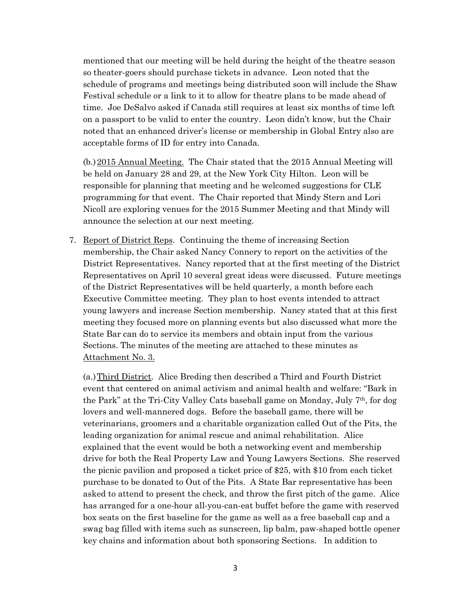mentioned that our meeting will be held during the height of the theatre season so theater-goers should purchase tickets in advance. Leon noted that the schedule of programs and meetings being distributed soon will include the Shaw Festival schedule or a link to it to allow for theatre plans to be made ahead of time. Joe DeSalvo asked if Canada still requires at least six months of time left on a passport to be valid to enter the country. Leon didn't know, but the Chair noted that an enhanced driver's license or membership in Global Entry also are acceptable forms of ID for entry into Canada.

(b.)2015 Annual Meeting. The Chair stated that the 2015 Annual Meeting will be held on January 28 and 29, at the New York City Hilton. Leon will be responsible for planning that meeting and he welcomed suggestions for CLE programming for that event. The Chair reported that Mindy Stern and Lori Nicoll are exploring venues for the 2015 Summer Meeting and that Mindy will announce the selection at our next meeting.

7. Report of District Reps. Continuing the theme of increasing Section membership, the Chair asked Nancy Connery to report on the activities of the District Representatives. Nancy reported that at the first meeting of the District Representatives on April 10 several great ideas were discussed. Future meetings of the District Representatives will be held quarterly, a month before each Executive Committee meeting. They plan to host events intended to attract young lawyers and increase Section membership. Nancy stated that at this first meeting they focused more on planning events but also discussed what more the State Bar can do to service its members and obtain input from the various Sections. The minutes of the meeting are attached to these minutes as Attachment No. 3.

(a.)Third District. Alice Breding then described a Third and Fourth District event that centered on animal activism and animal health and welfare: "Bark in the Park" at the Tri-City Valley Cats baseball game on Monday, July 7th, for dog lovers and well-mannered dogs. Before the baseball game, there will be veterinarians, groomers and a charitable organization called Out of the Pits, the leading organization for animal rescue and animal rehabilitation. Alice explained that the event would be both a networking event and membership drive for both the Real Property Law and Young Lawyers Sections. She reserved the picnic pavilion and proposed a ticket price of \$25, with \$10 from each ticket purchase to be donated to Out of the Pits. A State Bar representative has been asked to attend to present the check, and throw the first pitch of the game. Alice has arranged for a one-hour all-you-can-eat buffet before the game with reserved box seats on the first baseline for the game as well as a free baseball cap and a swag bag filled with items such as sunscreen, lip balm, paw-shaped bottle opener key chains and information about both sponsoring Sections. In addition to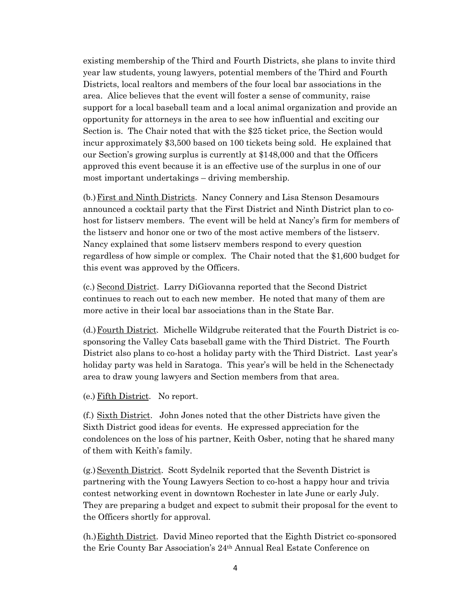existing membership of the Third and Fourth Districts, she plans to invite third year law students, young lawyers, potential members of the Third and Fourth Districts, local realtors and members of the four local bar associations in the area. Alice believes that the event will foster a sense of community, raise support for a local baseball team and a local animal organization and provide an opportunity for attorneys in the area to see how influential and exciting our Section is. The Chair noted that with the \$25 ticket price, the Section would incur approximately \$3,500 based on 100 tickets being sold. He explained that our Section's growing surplus is currently at \$148,000 and that the Officers approved this event because it is an effective use of the surplus in one of our most important undertakings – driving membership.

(b.) First and Ninth Districts. Nancy Connery and Lisa Stenson Desamours announced a cocktail party that the First District and Ninth District plan to cohost for listserv members. The event will be held at Nancy's firm for members of the listserv and honor one or two of the most active members of the listserv. Nancy explained that some listserv members respond to every question regardless of how simple or complex. The Chair noted that the \$1,600 budget for this event was approved by the Officers.

(c.) Second District. Larry DiGiovanna reported that the Second District continues to reach out to each new member. He noted that many of them are more active in their local bar associations than in the State Bar.

(d.)Fourth District. Michelle Wildgrube reiterated that the Fourth District is cosponsoring the Valley Cats baseball game with the Third District. The Fourth District also plans to co-host a holiday party with the Third District. Last year's holiday party was held in Saratoga. This year's will be held in the Schenectady area to draw young lawyers and Section members from that area.

(e.) Fifth District. No report.

(f.) Sixth District. John Jones noted that the other Districts have given the Sixth District good ideas for events. He expressed appreciation for the condolences on the loss of his partner, Keith Osber, noting that he shared many of them with Keith's family.

(g.)Seventh District. Scott Sydelnik reported that the Seventh District is partnering with the Young Lawyers Section to co-host a happy hour and trivia contest networking event in downtown Rochester in late June or early July. They are preparing a budget and expect to submit their proposal for the event to the Officers shortly for approval.

(h.)Eighth District. David Mineo reported that the Eighth District co-sponsored the Erie County Bar Association's 24th Annual Real Estate Conference on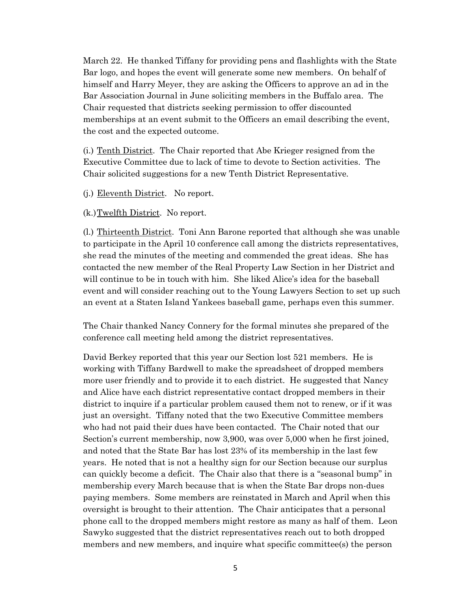March 22. He thanked Tiffany for providing pens and flashlights with the State Bar logo, and hopes the event will generate some new members. On behalf of himself and Harry Meyer, they are asking the Officers to approve an ad in the Bar Association Journal in June soliciting members in the Buffalo area. The Chair requested that districts seeking permission to offer discounted memberships at an event submit to the Officers an email describing the event, the cost and the expected outcome.

(i.) Tenth District. The Chair reported that Abe Krieger resigned from the Executive Committee due to lack of time to devote to Section activities. The Chair solicited suggestions for a new Tenth District Representative.

(j.) Eleventh District. No report.

(k.)Twelfth District. No report.

(l.) Thirteenth District. Toni Ann Barone reported that although she was unable to participate in the April 10 conference call among the districts representatives, she read the minutes of the meeting and commended the great ideas. She has contacted the new member of the Real Property Law Section in her District and will continue to be in touch with him. She liked Alice's idea for the baseball event and will consider reaching out to the Young Lawyers Section to set up such an event at a Staten Island Yankees baseball game, perhaps even this summer.

The Chair thanked Nancy Connery for the formal minutes she prepared of the conference call meeting held among the district representatives.

David Berkey reported that this year our Section lost 521 members. He is working with Tiffany Bardwell to make the spreadsheet of dropped members more user friendly and to provide it to each district. He suggested that Nancy and Alice have each district representative contact dropped members in their district to inquire if a particular problem caused them not to renew, or if it was just an oversight. Tiffany noted that the two Executive Committee members who had not paid their dues have been contacted. The Chair noted that our Section's current membership, now 3,900, was over 5,000 when he first joined, and noted that the State Bar has lost 23% of its membership in the last few years. He noted that is not a healthy sign for our Section because our surplus can quickly become a deficit. The Chair also that there is a "seasonal bump" in membership every March because that is when the State Bar drops non-dues paying members. Some members are reinstated in March and April when this oversight is brought to their attention. The Chair anticipates that a personal phone call to the dropped members might restore as many as half of them. Leon Sawyko suggested that the district representatives reach out to both dropped members and new members, and inquire what specific committee(s) the person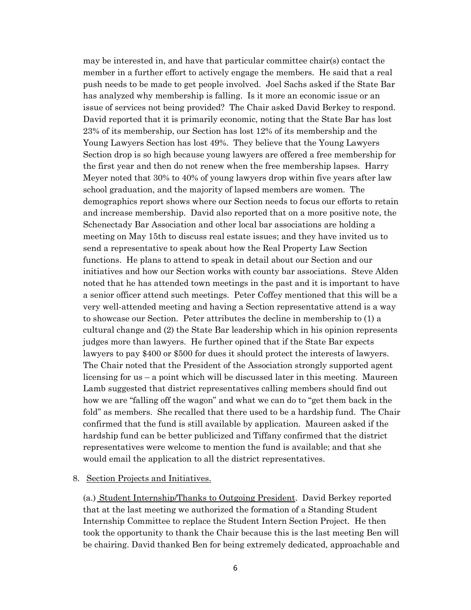may be interested in, and have that particular committee chair(s) contact the member in a further effort to actively engage the members. He said that a real push needs to be made to get people involved. Joel Sachs asked if the State Bar has analyzed why membership is falling. Is it more an economic issue or an issue of services not being provided? The Chair asked David Berkey to respond. David reported that it is primarily economic, noting that the State Bar has lost 23% of its membership, our Section has lost 12% of its membership and the Young Lawyers Section has lost 49%. They believe that the Young Lawyers Section drop is so high because young lawyers are offered a free membership for the first year and then do not renew when the free membership lapses. Harry Meyer noted that 30% to 40% of young lawyers drop within five years after law school graduation, and the majority of lapsed members are women. The demographics report shows where our Section needs to focus our efforts to retain and increase membership. David also reported that on a more positive note, the Schenectady Bar Association and other local bar associations are holding a meeting on May 15th to discuss real estate issues; and they have invited us to send a representative to speak about how the Real Property Law Section functions. He plans to attend to speak in detail about our Section and our initiatives and how our Section works with county bar associations. Steve Alden noted that he has attended town meetings in the past and it is important to have a senior officer attend such meetings. Peter Coffey mentioned that this will be a very well-attended meeting and having a Section representative attend is a way to showcase our Section. Peter attributes the decline in membership to (1) a cultural change and (2) the State Bar leadership which in his opinion represents judges more than lawyers. He further opined that if the State Bar expects lawyers to pay \$400 or \$500 for dues it should protect the interests of lawyers. The Chair noted that the President of the Association strongly supported agent licensing for us – a point which will be discussed later in this meeting. Maureen Lamb suggested that district representatives calling members should find out how we are "falling off the wagon" and what we can do to "get them back in the fold" as members. She recalled that there used to be a hardship fund. The Chair confirmed that the fund is still available by application. Maureen asked if the hardship fund can be better publicized and Tiffany confirmed that the district representatives were welcome to mention the fund is available; and that she would email the application to all the district representatives.

### 8. Section Projects and Initiatives.

(a.) Student Internship/Thanks to Outgoing President. David Berkey reported that at the last meeting we authorized the formation of a Standing Student Internship Committee to replace the Student Intern Section Project. He then took the opportunity to thank the Chair because this is the last meeting Ben will be chairing. David thanked Ben for being extremely dedicated, approachable and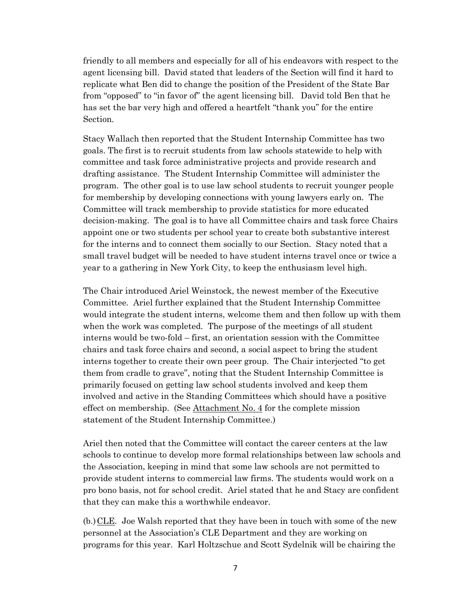friendly to all members and especially for all of his endeavors with respect to the agent licensing bill. David stated that leaders of the Section will find it hard to replicate what Ben did to change the position of the President of the State Bar from "opposed" to "in favor of" the agent licensing bill. David told Ben that he has set the bar very high and offered a heartfelt "thank you" for the entire Section.

Stacy Wallach then reported that the Student Internship Committee has two goals. The first is to recruit students from law schools statewide to help with committee and task force administrative projects and provide research and drafting assistance. The Student Internship Committee will administer the program. The other goal is to use law school students to recruit younger people for membership by developing connections with young lawyers early on. The Committee will track membership to provide statistics for more educated decision-making. The goal is to have all Committee chairs and task force Chairs appoint one or two students per school year to create both substantive interest for the interns and to connect them socially to our Section. Stacy noted that a small travel budget will be needed to have student interns travel once or twice a year to a gathering in New York City, to keep the enthusiasm level high.

The Chair introduced Ariel Weinstock, the newest member of the Executive Committee. Ariel further explained that the Student Internship Committee would integrate the student interns, welcome them and then follow up with them when the work was completed. The purpose of the meetings of all student interns would be two-fold – first, an orientation session with the Committee chairs and task force chairs and second, a social aspect to bring the student interns together to create their own peer group. The Chair interjected "to get them from cradle to grave", noting that the Student Internship Committee is primarily focused on getting law school students involved and keep them involved and active in the Standing Committees which should have a positive effect on membership. (See Attachment No. 4 for the complete mission statement of the Student Internship Committee.)

Ariel then noted that the Committee will contact the career centers at the law schools to continue to develop more formal relationships between law schools and the Association, keeping in mind that some law schools are not permitted to provide student interns to commercial law firms. The students would work on a pro bono basis, not for school credit. Ariel stated that he and Stacy are confident that they can make this a worthwhile endeavor.

(b.) CLE. Joe Walsh reported that they have been in touch with some of the new personnel at the Association's CLE Department and they are working on programs for this year. Karl Holtzschue and Scott Sydelnik will be chairing the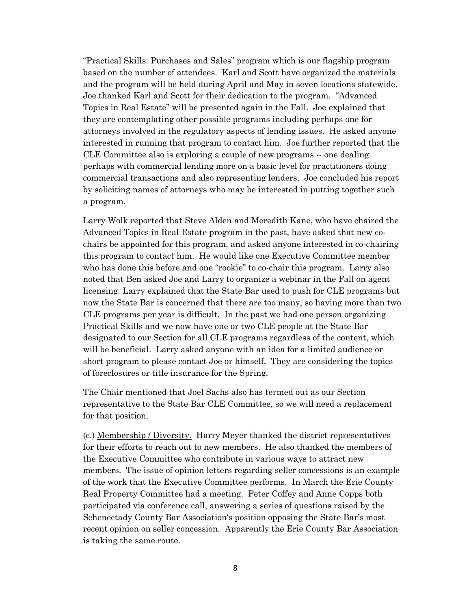"Practical Skills: Purchases and Sales" program which is our flagship program based on the number of attendees. Karl and Scott have organized the materials and the program will be held during April and May in seven locations statewide. Joe thanked Karl and Scott for their dedication to the program. "Advanced Topics in Real Estate" will be presented again in the Fall. Joe explained that they are contemplating other possible programs including perhaps one for attorneys involved in the regulatory aspects of lending issues. He asked anyone interested in running that program to contact him. Joe further reported that the CLE Committee also is exploring a couple of new programs -- one dealing perhaps with commercial lending more on a basic level for practitioners doing commercial transactions and also representing lenders. Joe concluded his report by soliciting names of attorneys who may be interested in putting together such a program.

Larry Wolk reported that Steve Alden and Meredith Kane, who have chaired the Advanced Topics in Real Estate program in the past, have asked that new cochairs be appointed for this program, and asked anyone interested in co-chairing this program to contact him. He would like one Executive Committee member who has done this before and one "rookie" to co-chair this program. Larry also noted that Ben asked Joe and Larry to organize a webinar in the Fall on agent licensing. Larry explained that the State Bar used to push for CLE programs but now the State Bar is concerned that there are too many, so having more than two CLE programs per year is difficult. In the past we had one person organizing Practical Skills and we now have one or two CLE people at the State Bar designated to our Section for all CLE programs regardless of the content, which will be beneficial. Larry asked anyone with an idea for a limited audience or short program to please contact Joe or himself. They are considering the topics of foreclosures or title insurance for the Spring.

The Chair mentioned that Joel Sachs also has termed out as our Section representative to the State Bar CLE Committee, so we will need a replacement for that position.

(c.) Membership / Diversity. Harry Meyer thanked the district representatives for their efforts to reach out to new members. He also thanked the members of the Executive Committee who contribute in various ways to attract new members. The issue of opinion letters regarding seller concessions is an example of the work that the Executive Committee performs. In March the Erie County Real Property Committee had a meeting. Peter Coffey and Anne Copps both participated via conference call, answering a series of questions raised by the Schenectady County Bar Association's position opposing the State Bar's most recent opinion on seller concession. Apparently the Erie County Bar Association is taking the same route.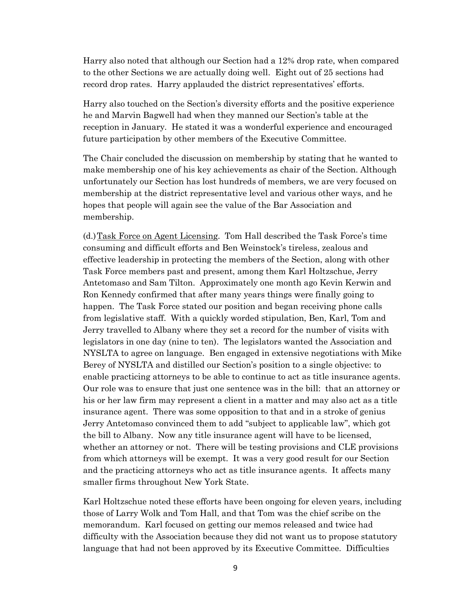Harry also noted that although our Section had a 12% drop rate, when compared to the other Sections we are actually doing well. Eight out of 25 sections had record drop rates. Harry applauded the district representatives' efforts.

Harry also touched on the Section's diversity efforts and the positive experience he and Marvin Bagwell had when they manned our Section's table at the reception in January. He stated it was a wonderful experience and encouraged future participation by other members of the Executive Committee.

The Chair concluded the discussion on membership by stating that he wanted to make membership one of his key achievements as chair of the Section. Although unfortunately our Section has lost hundreds of members, we are very focused on membership at the district representative level and various other ways, and he hopes that people will again see the value of the Bar Association and membership.

(d.)Task Force on Agent Licensing. Tom Hall described the Task Force's time consuming and difficult efforts and Ben Weinstock's tireless, zealous and effective leadership in protecting the members of the Section, along with other Task Force members past and present, among them Karl Holtzschue, Jerry Antetomaso and Sam Tilton. Approximately one month ago Kevin Kerwin and Ron Kennedy confirmed that after many years things were finally going to happen. The Task Force stated our position and began receiving phone calls from legislative staff. With a quickly worded stipulation, Ben, Karl, Tom and Jerry travelled to Albany where they set a record for the number of visits with legislators in one day (nine to ten). The legislators wanted the Association and NYSLTA to agree on language. Ben engaged in extensive negotiations with Mike Berey of NYSLTA and distilled our Section's position to a single objective: to enable practicing attorneys to be able to continue to act as title insurance agents. Our role was to ensure that just one sentence was in the bill: that an attorney or his or her law firm may represent a client in a matter and may also act as a title insurance agent. There was some opposition to that and in a stroke of genius Jerry Antetomaso convinced them to add "subject to applicable law", which got the bill to Albany. Now any title insurance agent will have to be licensed, whether an attorney or not. There will be testing provisions and CLE provisions from which attorneys will be exempt. It was a very good result for our Section and the practicing attorneys who act as title insurance agents. It affects many smaller firms throughout New York State.

Karl Holtzschue noted these efforts have been ongoing for eleven years, including those of Larry Wolk and Tom Hall, and that Tom was the chief scribe on the memorandum. Karl focused on getting our memos released and twice had difficulty with the Association because they did not want us to propose statutory language that had not been approved by its Executive Committee. Difficulties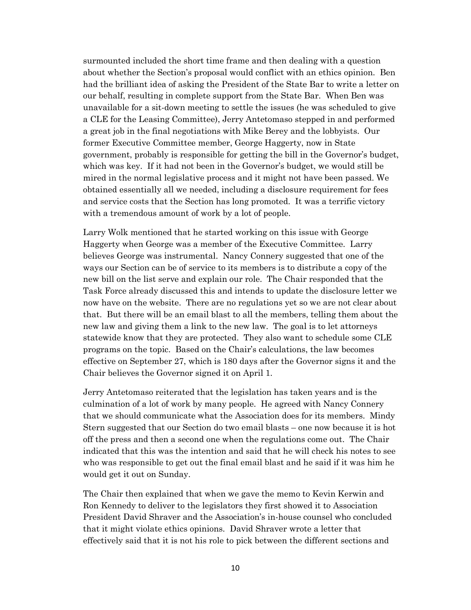surmounted included the short time frame and then dealing with a question about whether the Section's proposal would conflict with an ethics opinion. Ben had the brilliant idea of asking the President of the State Bar to write a letter on our behalf, resulting in complete support from the State Bar. When Ben was unavailable for a sit-down meeting to settle the issues (he was scheduled to give a CLE for the Leasing Committee), Jerry Antetomaso stepped in and performed a great job in the final negotiations with Mike Berey and the lobbyists. Our former Executive Committee member, George Haggerty, now in State government, probably is responsible for getting the bill in the Governor's budget, which was key. If it had not been in the Governor's budget, we would still be mired in the normal legislative process and it might not have been passed. We obtained essentially all we needed, including a disclosure requirement for fees and service costs that the Section has long promoted. It was a terrific victory with a tremendous amount of work by a lot of people.

Larry Wolk mentioned that he started working on this issue with George Haggerty when George was a member of the Executive Committee. Larry believes George was instrumental. Nancy Connery suggested that one of the ways our Section can be of service to its members is to distribute a copy of the new bill on the list serve and explain our role. The Chair responded that the Task Force already discussed this and intends to update the disclosure letter we now have on the website. There are no regulations yet so we are not clear about that. But there will be an email blast to all the members, telling them about the new law and giving them a link to the new law. The goal is to let attorneys statewide know that they are protected. They also want to schedule some CLE programs on the topic. Based on the Chair's calculations, the law becomes effective on September 27, which is 180 days after the Governor signs it and the Chair believes the Governor signed it on April 1.

Jerry Antetomaso reiterated that the legislation has taken years and is the culmination of a lot of work by many people. He agreed with Nancy Connery that we should communicate what the Association does for its members. Mindy Stern suggested that our Section do two email blasts – one now because it is hot off the press and then a second one when the regulations come out. The Chair indicated that this was the intention and said that he will check his notes to see who was responsible to get out the final email blast and he said if it was him he would get it out on Sunday.

The Chair then explained that when we gave the memo to Kevin Kerwin and Ron Kennedy to deliver to the legislators they first showed it to Association President David Shraver and the Association's in-house counsel who concluded that it might violate ethics opinions. David Shraver wrote a letter that effectively said that it is not his role to pick between the different sections and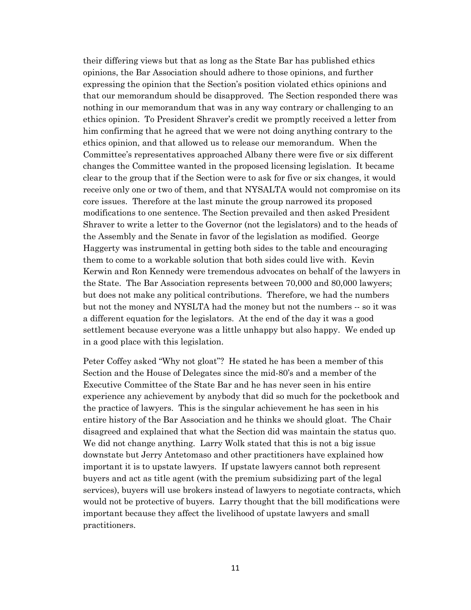their differing views but that as long as the State Bar has published ethics opinions, the Bar Association should adhere to those opinions, and further expressing the opinion that the Section's position violated ethics opinions and that our memorandum should be disapproved. The Section responded there was nothing in our memorandum that was in any way contrary or challenging to an ethics opinion. To President Shraver's credit we promptly received a letter from him confirming that he agreed that we were not doing anything contrary to the ethics opinion, and that allowed us to release our memorandum. When the Committee's representatives approached Albany there were five or six different changes the Committee wanted in the proposed licensing legislation. It became clear to the group that if the Section were to ask for five or six changes, it would receive only one or two of them, and that NYSALTA would not compromise on its core issues. Therefore at the last minute the group narrowed its proposed modifications to one sentence. The Section prevailed and then asked President Shraver to write a letter to the Governor (not the legislators) and to the heads of the Assembly and the Senate in favor of the legislation as modified. George Haggerty was instrumental in getting both sides to the table and encouraging them to come to a workable solution that both sides could live with. Kevin Kerwin and Ron Kennedy were tremendous advocates on behalf of the lawyers in the State. The Bar Association represents between 70,000 and 80,000 lawyers; but does not make any political contributions. Therefore, we had the numbers but not the money and NYSLTA had the money but not the numbers -- so it was a different equation for the legislators. At the end of the day it was a good settlement because everyone was a little unhappy but also happy. We ended up in a good place with this legislation.

Peter Coffey asked "Why not gloat"? He stated he has been a member of this Section and the House of Delegates since the mid-80's and a member of the Executive Committee of the State Bar and he has never seen in his entire experience any achievement by anybody that did so much for the pocketbook and the practice of lawyers. This is the singular achievement he has seen in his entire history of the Bar Association and he thinks we should gloat. The Chair disagreed and explained that what the Section did was maintain the status quo. We did not change anything. Larry Wolk stated that this is not a big issue downstate but Jerry Antetomaso and other practitioners have explained how important it is to upstate lawyers. If upstate lawyers cannot both represent buyers and act as title agent (with the premium subsidizing part of the legal services), buyers will use brokers instead of lawyers to negotiate contracts, which would not be protective of buyers. Larry thought that the bill modifications were important because they affect the livelihood of upstate lawyers and small practitioners.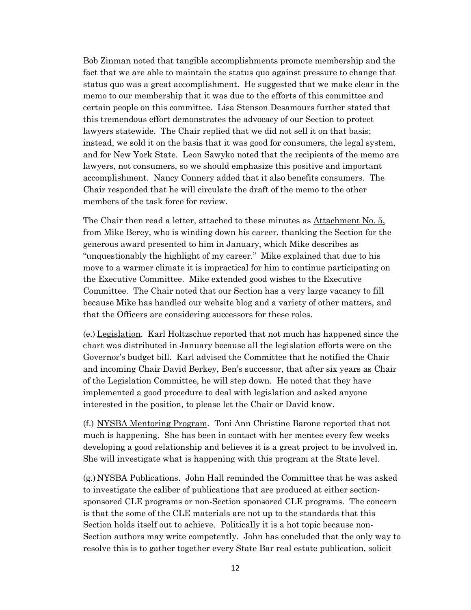Bob Zinman noted that tangible accomplishments promote membership and the fact that we are able to maintain the status quo against pressure to change that status quo was a great accomplishment. He suggested that we make clear in the memo to our membership that it was due to the efforts of this committee and certain people on this committee. Lisa Stenson Desamours further stated that this tremendous effort demonstrates the advocacy of our Section to protect lawyers statewide. The Chair replied that we did not sell it on that basis; instead, we sold it on the basis that it was good for consumers, the legal system, and for New York State. Leon Sawyko noted that the recipients of the memo are lawyers, not consumers, so we should emphasize this positive and important accomplishment. Nancy Connery added that it also benefits consumers. The Chair responded that he will circulate the draft of the memo to the other members of the task force for review.

The Chair then read a letter, attached to these minutes as Attachment No. 5, from Mike Berey, who is winding down his career, thanking the Section for the generous award presented to him in January, which Mike describes as "unquestionably the highlight of my career." Mike explained that due to his move to a warmer climate it is impractical for him to continue participating on the Executive Committee. Mike extended good wishes to the Executive Committee. The Chair noted that our Section has a very large vacancy to fill because Mike has handled our website blog and a variety of other matters, and that the Officers are considering successors for these roles.

(e.) Legislation. Karl Holtzschue reported that not much has happened since the chart was distributed in January because all the legislation efforts were on the Governor's budget bill. Karl advised the Committee that he notified the Chair and incoming Chair David Berkey, Ben's successor, that after six years as Chair of the Legislation Committee, he will step down. He noted that they have implemented a good procedure to deal with legislation and asked anyone interested in the position, to please let the Chair or David know.

(f.) NYSBA Mentoring Program. Toni Ann Christine Barone reported that not much is happening. She has been in contact with her mentee every few weeks developing a good relationship and believes it is a great project to be involved in. She will investigate what is happening with this program at the State level.

(g.) NYSBA Publications. John Hall reminded the Committee that he was asked to investigate the caliber of publications that are produced at either sectionsponsored CLE programs or non-Section sponsored CLE programs. The concern is that the some of the CLE materials are not up to the standards that this Section holds itself out to achieve. Politically it is a hot topic because non-Section authors may write competently. John has concluded that the only way to resolve this is to gather together every State Bar real estate publication, solicit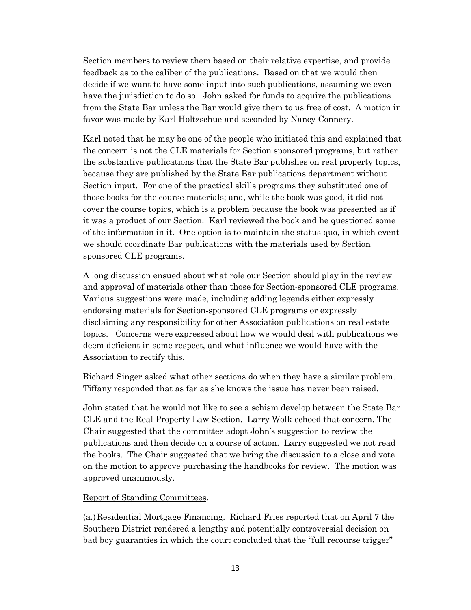Section members to review them based on their relative expertise, and provide feedback as to the caliber of the publications. Based on that we would then decide if we want to have some input into such publications, assuming we even have the jurisdiction to do so. John asked for funds to acquire the publications from the State Bar unless the Bar would give them to us free of cost. A motion in favor was made by Karl Holtzschue and seconded by Nancy Connery.

Karl noted that he may be one of the people who initiated this and explained that the concern is not the CLE materials for Section sponsored programs, but rather the substantive publications that the State Bar publishes on real property topics, because they are published by the State Bar publications department without Section input. For one of the practical skills programs they substituted one of those books for the course materials; and, while the book was good, it did not cover the course topics, which is a problem because the book was presented as if it was a product of our Section. Karl reviewed the book and he questioned some of the information in it. One option is to maintain the status quo, in which event we should coordinate Bar publications with the materials used by Section sponsored CLE programs.

A long discussion ensued about what role our Section should play in the review and approval of materials other than those for Section-sponsored CLE programs. Various suggestions were made, including adding legends either expressly endorsing materials for Section-sponsored CLE programs or expressly disclaiming any responsibility for other Association publications on real estate topics. Concerns were expressed about how we would deal with publications we deem deficient in some respect, and what influence we would have with the Association to rectify this.

Richard Singer asked what other sections do when they have a similar problem. Tiffany responded that as far as she knows the issue has never been raised.

John stated that he would not like to see a schism develop between the State Bar CLE and the Real Property Law Section. Larry Wolk echoed that concern. The Chair suggested that the committee adopt John's suggestion to review the publications and then decide on a course of action. Larry suggested we not read the books. The Chair suggested that we bring the discussion to a close and vote on the motion to approve purchasing the handbooks for review. The motion was approved unanimously.

## Report of Standing Committees.

(a.)Residential Mortgage Financing. Richard Fries reported that on April 7 the Southern District rendered a lengthy and potentially controversial decision on bad boy guaranties in which the court concluded that the "full recourse trigger"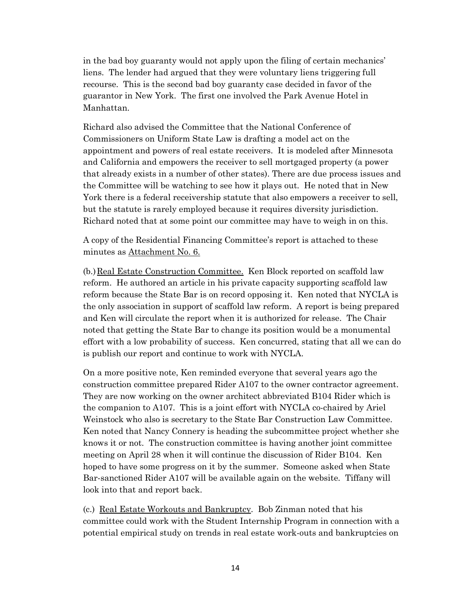in the bad boy guaranty would not apply upon the filing of certain mechanics' liens. The lender had argued that they were voluntary liens triggering full recourse. This is the second bad boy guaranty case decided in favor of the guarantor in New York. The first one involved the Park Avenue Hotel in Manhattan.

Richard also advised the Committee that the National Conference of Commissioners on Uniform State Law is drafting a model act on the appointment and powers of real estate receivers. It is modeled after Minnesota and California and empowers the receiver to sell mortgaged property (a power that already exists in a number of other states). There are due process issues and the Committee will be watching to see how it plays out. He noted that in New York there is a federal receivership statute that also empowers a receiver to sell, but the statute is rarely employed because it requires diversity jurisdiction. Richard noted that at some point our committee may have to weigh in on this.

A copy of the Residential Financing Committee's report is attached to these minutes as Attachment No. 6.

(b.)Real Estate Construction Committee. Ken Block reported on scaffold law reform. He authored an article in his private capacity supporting scaffold law reform because the State Bar is on record opposing it. Ken noted that NYCLA is the only association in support of scaffold law reform. A report is being prepared and Ken will circulate the report when it is authorized for release. The Chair noted that getting the State Bar to change its position would be a monumental effort with a low probability of success. Ken concurred, stating that all we can do is publish our report and continue to work with NYCLA.

On a more positive note, Ken reminded everyone that several years ago the construction committee prepared Rider A107 to the owner contractor agreement. They are now working on the owner architect abbreviated B104 Rider which is the companion to A107. This is a joint effort with NYCLA co-chaired by Ariel Weinstock who also is secretary to the State Bar Construction Law Committee. Ken noted that Nancy Connery is heading the subcommittee project whether she knows it or not. The construction committee is having another joint committee meeting on April 28 when it will continue the discussion of Rider B104. Ken hoped to have some progress on it by the summer. Someone asked when State Bar-sanctioned Rider A107 will be available again on the website. Tiffany will look into that and report back.

(c.) Real Estate Workouts and Bankruptcy. Bob Zinman noted that his committee could work with the Student Internship Program in connection with a potential empirical study on trends in real estate work-outs and bankruptcies on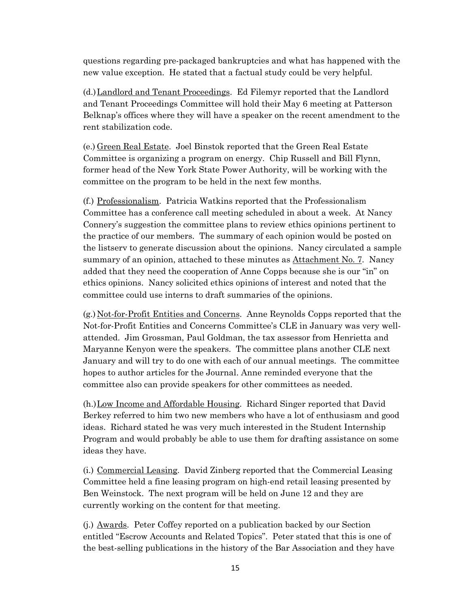questions regarding pre-packaged bankruptcies and what has happened with the new value exception. He stated that a factual study could be very helpful.

(d.)Landlord and Tenant Proceedings. Ed Filemyr reported that the Landlord and Tenant Proceedings Committee will hold their May 6 meeting at Patterson Belknap's offices where they will have a speaker on the recent amendment to the rent stabilization code.

(e.) Green Real Estate. Joel Binstok reported that the Green Real Estate Committee is organizing a program on energy. Chip Russell and Bill Flynn, former head of the New York State Power Authority, will be working with the committee on the program to be held in the next few months.

(f.) Professionalism. Patricia Watkins reported that the Professionalism Committee has a conference call meeting scheduled in about a week. At Nancy Connery's suggestion the committee plans to review ethics opinions pertinent to the practice of our members. The summary of each opinion would be posted on the listserv to generate discussion about the opinions. Nancy circulated a sample summary of an opinion, attached to these minutes as Attachment No. 7. Nancy added that they need the cooperation of Anne Copps because she is our "in" on ethics opinions. Nancy solicited ethics opinions of interest and noted that the committee could use interns to draft summaries of the opinions.

(g.) Not-for-Profit Entities and Concerns. Anne Reynolds Copps reported that the Not-for-Profit Entities and Concerns Committee's CLE in January was very wellattended. Jim Grossman, Paul Goldman, the tax assessor from Henrietta and Maryanne Kenyon were the speakers. The committee plans another CLE next January and will try to do one with each of our annual meetings. The committee hopes to author articles for the Journal. Anne reminded everyone that the committee also can provide speakers for other committees as needed.

(h.)Low Income and Affordable Housing. Richard Singer reported that David Berkey referred to him two new members who have a lot of enthusiasm and good ideas. Richard stated he was very much interested in the Student Internship Program and would probably be able to use them for drafting assistance on some ideas they have.

(i.) Commercial Leasing. David Zinberg reported that the Commercial Leasing Committee held a fine leasing program on high-end retail leasing presented by Ben Weinstock. The next program will be held on June 12 and they are currently working on the content for that meeting.

(j.) Awards. Peter Coffey reported on a publication backed by our Section entitled "Escrow Accounts and Related Topics". Peter stated that this is one of the best-selling publications in the history of the Bar Association and they have